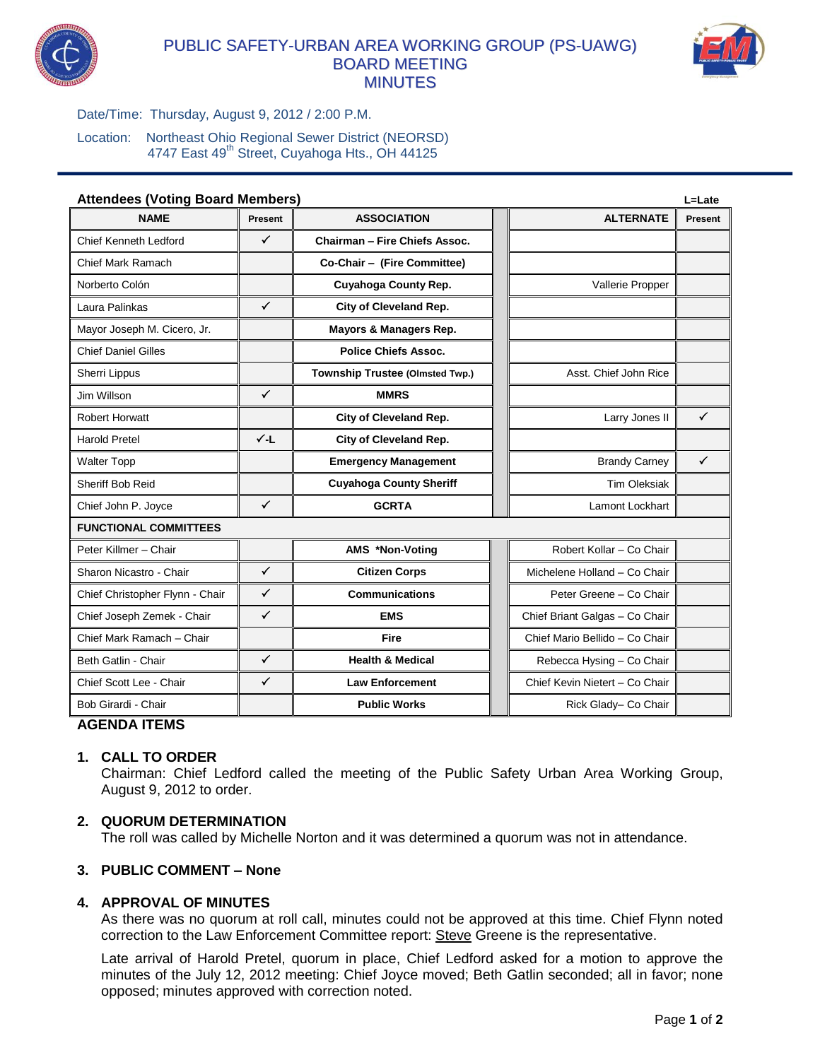

# PUBLIC SAFETY-URBAN AREA WORKING GROUP (PS-UAWG) BOARD MEETING MINUTES



Date/Time: Thursday, August 9, 2012 / 2:00 P.M.

Location: Northeast Ohio Regional Sewer District (NEORSD) 4747 East 49<sup>th</sup> Street, Cuyahoga Hts., OH 44125

| <b>Attendees (Voting Board Members)</b> |                |                                 |  |                                | L=Late         |
|-----------------------------------------|----------------|---------------------------------|--|--------------------------------|----------------|
| <b>NAME</b>                             | <b>Present</b> | <b>ASSOCIATION</b>              |  | <b>ALTERNATE</b>               | <b>Present</b> |
| <b>Chief Kenneth Ledford</b>            | ✓              | Chairman - Fire Chiefs Assoc.   |  |                                |                |
| <b>Chief Mark Ramach</b>                |                | Co-Chair - (Fire Committee)     |  |                                |                |
| Norberto Colón                          |                | Cuyahoga County Rep.            |  | Vallerie Propper               |                |
| Laura Palinkas                          | ✓              | City of Cleveland Rep.          |  |                                |                |
| Mayor Joseph M. Cicero, Jr.             |                | Mayors & Managers Rep.          |  |                                |                |
| <b>Chief Daniel Gilles</b>              |                | <b>Police Chiefs Assoc.</b>     |  |                                |                |
| Sherri Lippus                           |                | Township Trustee (Olmsted Twp.) |  | Asst. Chief John Rice          |                |
| Jim Willson                             | ✓              | <b>MMRS</b>                     |  |                                |                |
| <b>Robert Horwatt</b>                   |                | City of Cleveland Rep.          |  | Larry Jones II                 | $\checkmark$   |
| <b>Harold Pretel</b>                    | √-L            | City of Cleveland Rep.          |  |                                |                |
| <b>Walter Topp</b>                      |                | <b>Emergency Management</b>     |  | <b>Brandy Carney</b>           | ✓              |
| Sheriff Bob Reid                        |                | <b>Cuyahoga County Sheriff</b>  |  | <b>Tim Oleksiak</b>            |                |
| Chief John P. Joyce                     | $\checkmark$   | <b>GCRTA</b>                    |  | Lamont Lockhart                |                |
| <b>FUNCTIONAL COMMITTEES</b>            |                |                                 |  |                                |                |
| Peter Killmer - Chair                   |                | AMS *Non-Voting                 |  | Robert Kollar - Co Chair       |                |
| Sharon Nicastro - Chair                 | ✓              | <b>Citizen Corps</b>            |  | Michelene Holland - Co Chair   |                |
| Chief Christopher Flynn - Chair         | $\checkmark$   | <b>Communications</b>           |  | Peter Greene - Co Chair        |                |
| Chief Joseph Zemek - Chair              | $\checkmark$   | <b>EMS</b>                      |  | Chief Briant Galgas - Co Chair |                |
| Chief Mark Ramach - Chair               |                | <b>Fire</b>                     |  | Chief Mario Bellido - Co Chair |                |
| Beth Gatlin - Chair                     | $\checkmark$   | <b>Health &amp; Medical</b>     |  | Rebecca Hysing - Co Chair      |                |
| Chief Scott Lee - Chair                 | ✓              | <b>Law Enforcement</b>          |  | Chief Kevin Nietert - Co Chair |                |
| Bob Girardi - Chair                     |                | <b>Public Works</b>             |  | Rick Glady- Co Chair           |                |

# **AGENDA ITEMS**

# **1. CALL TO ORDER**

Chairman: Chief Ledford called the meeting of the Public Safety Urban Area Working Group, August 9, 2012 to order.

# **2. QUORUM DETERMINATION**

The roll was called by Michelle Norton and it was determined a quorum was not in attendance.

# **3. PUBLIC COMMENT – None**

# **4. APPROVAL OF MINUTES**

As there was no quorum at roll call, minutes could not be approved at this time. Chief Flynn noted correction to the Law Enforcement Committee report: Steve Greene is the representative.

Late arrival of Harold Pretel, quorum in place, Chief Ledford asked for a motion to approve the minutes of the July 12, 2012 meeting: Chief Joyce moved; Beth Gatlin seconded; all in favor; none opposed; minutes approved with correction noted.